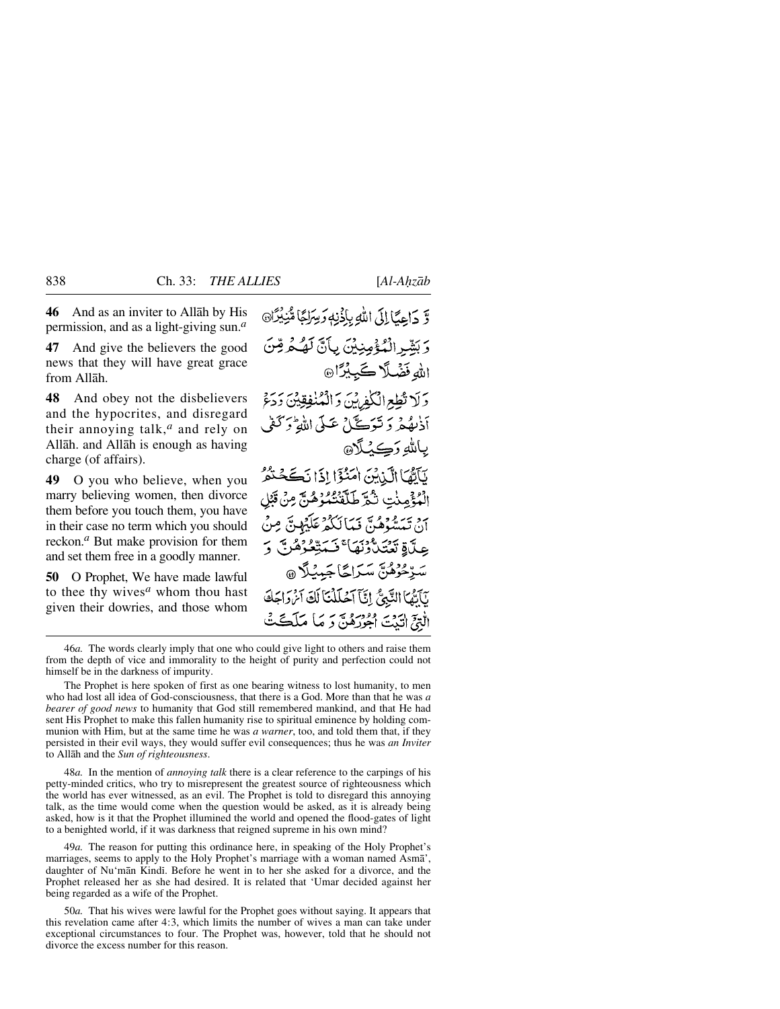**46** And as an inviter to Allåh by His permission, and as a light-giving sun.*<sup>a</sup>*

**47** And give the believers the good news that they will have great grace from Allåh.

**48** And obey not the disbelievers and the hypocrites, and disregard their annoying talk,*<sup>a</sup>* and rely on Allåh. and Allåh is enough as having charge (of affairs).

**49** O you who believe, when you marry believing women, then divorce them before you touch them, you have in their case no term which you should reckon.*<sup>a</sup>* But make provision for them and set them free in a goodly manner.

**50** O Prophet, We have made lawful to thee thy wives*<sup>a</sup>* whom thou hast given their dowries, and those whom وَّ دَاعِيَّا إِلَى اللَّهِ بِإِذْنِهِ وَسِرَاجًا مِّنِيْدَانَ وَبَشِّرِ الْمُؤْمِنِيْنَ بِأَنَّ لَهُكُمْ قِنَّ الله فَضْلًا كَبِيْرًا۞ وَلَا تُطِعِ الْكَفِرِينَ وَالْمُنْفِقِينَ وَدَعَ أدُبِهُمْ وَتَوَكَّ\ عَبِيٍّ اللّهُ وَكَفَىٰ ياللهِ وَڪِٽلَا@ نَآتَهَا الَّذِيْنَ امْنُؤَا إِذَا نَكَحَتْهُمُّ الْمُؤْمِنْتِ تْبُرَّ طَلّْقْتُمُوْهُنَّ مِنْ قَبْلِ ن تېپتىۋەگ ئېكانىڭ ئۇي بىر بېرى عِلَّاةِ تَعْتَلُّوْنَهَا ۚ فَسَتِّعُوُهُرِ ۗ ۚ وَ سَرِّحُوْهُنَّ سَرَاحًا جَمِيْلًا @ يَأَيُّهَا النَّبِيُّ إِنَّآ آَحُلَلْنَآ لَكَ آَنْهَ وَاجَكَ الْتِيَّ الَّذِيَّ الْجُورُهُنَّ وَ مَا مَلَڪَتُ

46*a.* The words clearly imply that one who could give light to others and raise them from the depth of vice and immorality to the height of purity and perfection could not himself be in the darkness of impurity.

The Prophet is here spoken of first as one bearing witness to lost humanity, to men who had lost all idea of God-consciousness, that there is a God. More than that he was *a bearer of good news* to humanity that God still remembered mankind, and that He had sent His Prophet to make this fallen humanity rise to spiritual eminence by holding communion with Him, but at the same time he was *a warner*, too, and told them that, if they persisted in their evil ways, they would suffer evil consequences; thus he was *an Inviter* to Allåh and the *Sun of righteousness*.

48*a.* In the mention of *annoying talk* there is a clear reference to the carpings of his petty-minded critics, who try to misrepresent the greatest source of righteousness which the world has ever witnessed, as an evil. The Prophet is told to disregard this annoying talk, as the time would come when the question would be asked, as it is already being asked, how is it that the Prophet illumined the world and opened the flood-gates of light to a benighted world, if it was darkness that reigned supreme in his own mind?

49*a.* The reason for putting this ordinance here, in speaking of the Holy Prophet's marriages, seems to apply to the Holy Prophet's marriage with a woman named Asmå', daughter of Nu'mān Kindī. Before he went in to her she asked for a divorce, and the Prophet released her as she had desired. It is related that 'Umar decided against her being regarded as a wife of the Prophet.

50*a.* That his wives were lawful for the Prophet goes without saying. It appears that this revelation came after 4:3, which limits the number of wives a man can take under exceptional circumstances to four. The Prophet was, however, told that he should not divorce the excess number for this reason.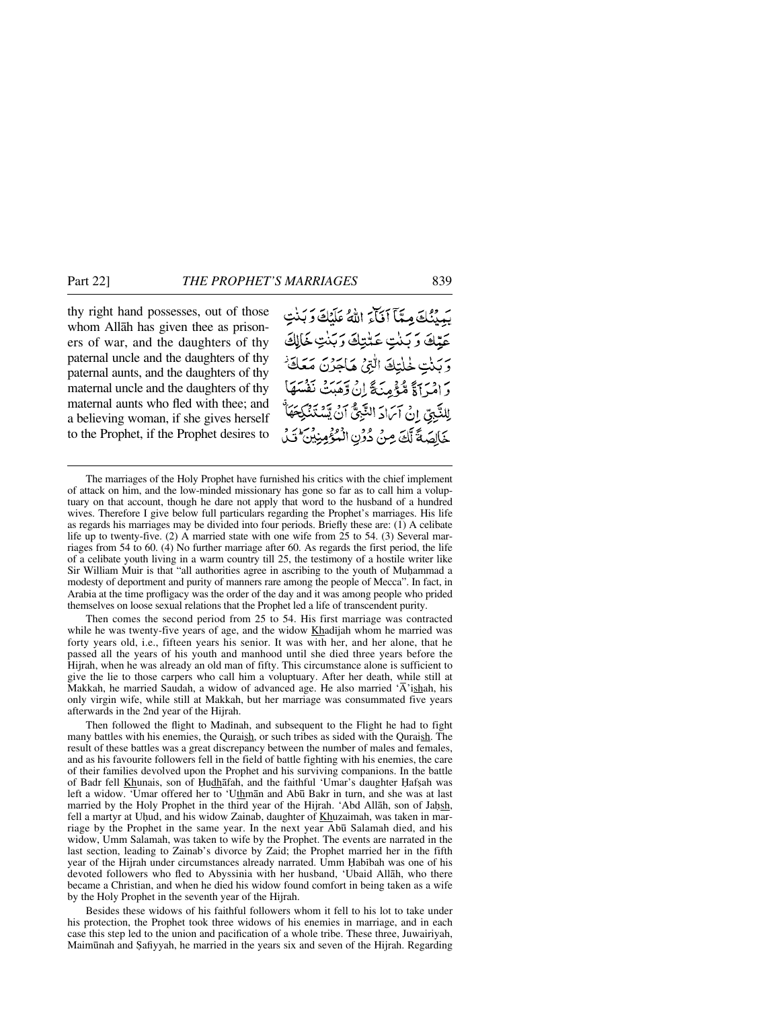thy right hand possesses, out of those whom Allåh has given thee as prisoners of war, and the daughters of thy paternal uncle and the daughters of thy paternal aunts, and the daughters of thy maternal uncle and the daughters of thy maternal aunts who fled with thee; and a believing woman, if she gives herself to the Prophet, if the Prophet desires to يَبِينُكَ مِنَّآ أَفَآءَ اللَّهُ عَلَيْكَ وَبَنْتٍ عَبِّكَ وَبَنْتِ عَتْبَكَ وَبَنْتِ خَالِكَ ربنت لهلتك التي مكاجَزَن مَعَ يَرٍ دِيرَ 1ءٌ مُّؤْمِنَةٌ إِنْ وَمَيْتَ نَفْسَهُ لِلنَّبِيِّ إِنْ آَىَادَ النَّبِيُّ آنُ يَّسْتَذَّ خَالِصَةً لَّكَ مِنْ دُوْنِ الْمُؤْمِنِينَ

Then comes the second period from 25 to 54. His first marriage was contracted while he was twenty-five years of age, and the widow Khadijah whom he married was forty years old, i.e., fifteen years his senior. It was with her, and her alone, that he passed all the years of his youth and manhood until she died three years before the Hijrah, when he was already an old man of fifty. This circumstance alone is sufficient to give the lie to those carpers who call him a voluptuary. After her death, while still at Makkah, he married Saudah, a widow of advanced age. He also married  $\overline{A}$  ishah, his only virgin wife, while still at Makkah, but her marriage was consummated five years afterwards in the 2nd year of the Hijrah.

Then followed the flight to Madinah, and subsequent to the Flight he had to fight many battles with his enemies, the Quraish, or such tribes as sided with the Quraish. The result of these battles was a great discrepancy between the number of males and females, and as his favourite followers fell in the field of battle fighting with his enemies, the care of their families devolved upon the Prophet and his surviving companions. In the battle of Badr fell Khunais, son of Hudhāfah, and the faithful 'Umar's daughter Hafsah was left a widow. 'Umar offered her to 'Uthman and Abū Bakr in turn, and she was at last married by the Holy Prophet in the third year of the Hijrah. 'Abd Allāh, son of Jahsh, fell a martyr at Uhud, and his widow Zainab, daughter of Khuzaimah, was taken in marriage by the Prophet in the same year. In the next year Ab∂ Salamah died, and his widow, Umm Salamah, was taken to wife by the Prophet. The events are narrated in the last section, leading to Zainab's divorce by Zaid; the Prophet married her in the fifth year of the Hijrah under circumstances already narrated. Umm Habibah was one of his devoted followers who fled to Abyssinia with her husband, 'Ubaid Allåh, who there became a Christian, and when he died his widow found comfort in being taken as a wife by the Holy Prophet in the seventh year of the Hijrah.

Besides these widows of his faithful followers whom it fell to his lot to take under his protection, the Prophet took three widows of his enemies in marriage, and in each case this step led to the union and pacification of a whole tribe. These three, Juwairiyah, Maimūnah and Şafiyyah, he married in the years six and seven of the Hijrah. Regarding

The marriages of the Holy Prophet have furnished his critics with the chief implement of attack on him, and the low-minded missionary has gone so far as to call him a voluptuary on that account, though he dare not apply that word to the husband of a hundred wives. Therefore I give below full particulars regarding the Prophet's marriages. His life as regards his marriages may be divided into four periods. Briefly these are: (1) A celibate life up to twenty-five. (2) A married state with one wife from 25 to 54. (3) Several marriages from 54 to 60. (4) No further marriage after 60. As regards the first period, the life of a celibate youth living in a warm country till 25, the testimony of a hostile writer like Sir William Muir is that "all authorities agree in ascribing to the youth of Muhammad a modesty of deportment and purity of manners rare among the people of Mecca". In fact, in Arabia at the time profligacy was the order of the day and it was among people who prided themselves on loose sexual relations that the Prophet led a life of transcendent purity.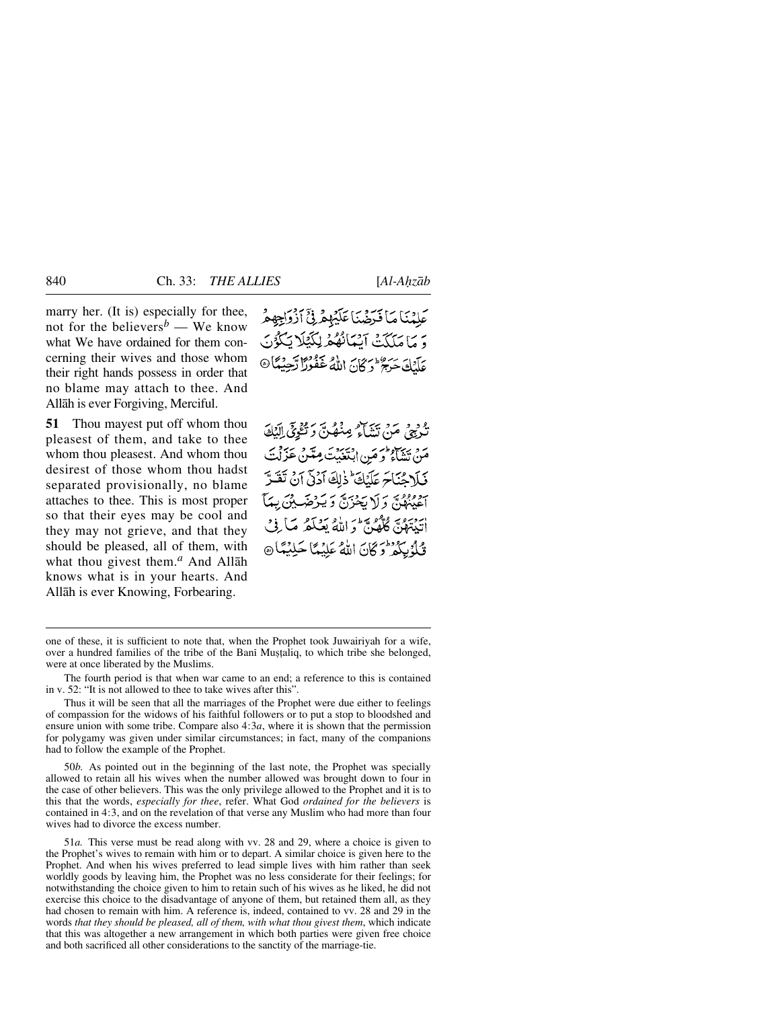marry her. (It is) especially for thee, not for the believers<sup> $b$ </sup> — We know what We have ordained for them concerning their wives and those whom their right hands possess in order that no blame may attach to thee. And Allåh is ever Forgiving, Merciful.

**51** Thou mayest put off whom thou pleasest of them, and take to thee whom thou pleasest. And whom thou desirest of those whom thou hadst separated provisionally, no blame attaches to thee. This is most proper so that their eyes may be cool and they may not grieve, and that they should be pleased, all of them, with what thou givest them.*<sup>a</sup>* And Allåh knows what is in your hearts. And Allåh is ever Knowing, Forbearing.

عَلَيْنَاهَا فَدَضَّنَاعَلَيْهِمْ فِيٍّ أَذْوَاجِهِمْ وَ مَا مَلَكَتْ آَيْهَانُهُمْ لِكَيْلَا يَكُوُنَ عَابِطَهَ جَبِيحٌ وَكَانَ اللَّهُ غَفُورًا تَجِيبُنَّا۞

تَكْرِبِيجِ مَنْ تَنْتَأَمُّ مِنْصُنِّ دَتَّقُوْيَ إِلَيْكَ مَنْ تَشَاءُ وَ مَنِ ابْتَغَيْتَ مِنَّنْ عَزَلْتَ فَبَلاحُنَاجَ عَلَيْكَ ذٰلِكَ آدْنَى آنُ تَقَبَّرَ حَفِيْبِهِينَ وَلَا يَحْزَنَّ وَيَدْخَبِ بِيْنَ بِيِمَا أَيَّبْتَهُنَّ كُلُّهُنَّ وَاللَّهُ يَعْلَمُ مَا فِي قُلْدُ بِكُمْ تُرِكَّانَ اللَّهُ عَلَيْهَا حَلِيْمًا @

50*b.* As pointed out in the beginning of the last note, the Prophet was specially allowed to retain all his wives when the number allowed was brought down to four in the case of other believers. This was the only privilege allowed to the Prophet and it is to this that the words, *especially for thee*, refer. What God *ordained for the believers* is contained in 4:3, and on the revelation of that verse any Muslim who had more than four wives had to divorce the excess number.

51*a.* This verse must be read along with vv. 28 and 29, where a choice is given to the Prophet's wives to remain with him or to depart. A similar choice is given here to the Prophet. And when his wives preferred to lead simple lives with him rather than seek worldly goods by leaving him, the Prophet was no less considerate for their feelings; for notwithstanding the choice given to him to retain such of his wives as he liked, he did not exercise this choice to the disadvantage of anyone of them, but retained them all, as they had chosen to remain with him. A reference is, indeed, contained to vv. 28 and 29 in the words *that they should be pleased, all of them, with what thou givest them*, which indicate that this was altogether a new arrangement in which both parties were given free choice and both sacrificed all other considerations to the sanctity of the marriage-tie.

one of these, it is sufficient to note that, when the Prophet took Juwairiyah for a wife, over a hundred families of the tribe of the Bani Mustaliq, to which tribe she belonged, were at once liberated by the Muslims.

The fourth period is that when war came to an end; a reference to this is contained in v. 52: "It is not allowed to thee to take wives after this".

Thus it will be seen that all the marriages of the Prophet were due either to feelings of compassion for the widows of his faithful followers or to put a stop to bloodshed and ensure union with some tribe. Compare also  $4:3a$ , where it is shown that the permission for polygamy was given under similar circumstances; in fact, many of the companions had to follow the example of the Prophet.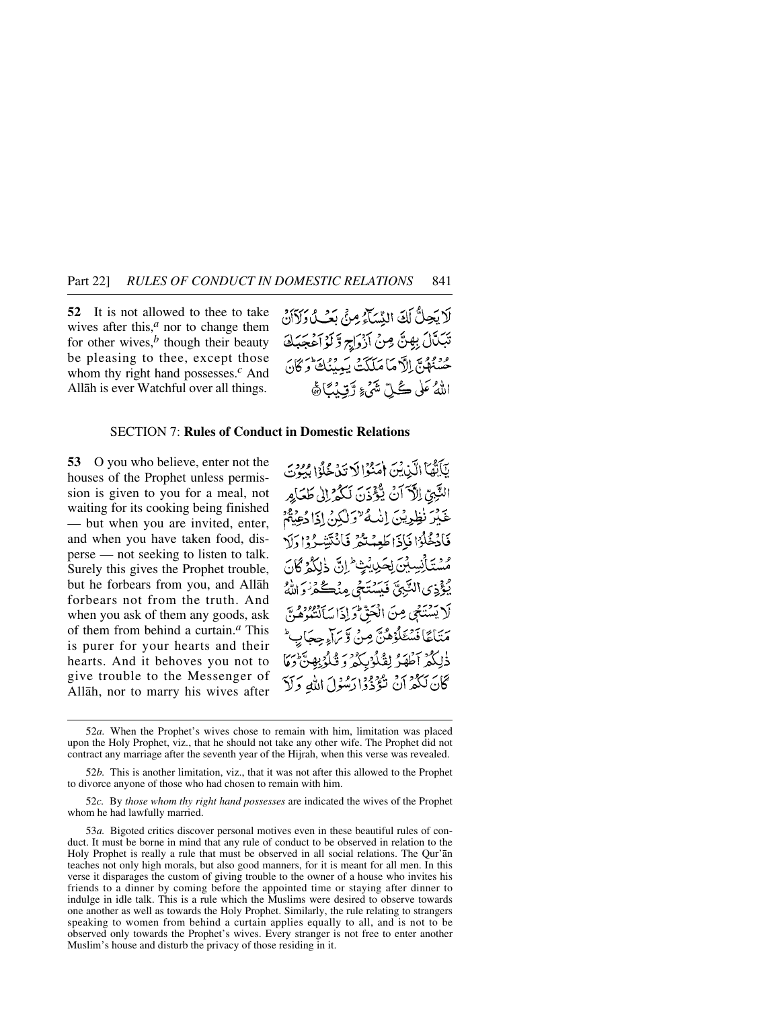**52** It is not allowed to thee to take wives after this, $<sup>a</sup>$  nor to change them</sup> for other wives, $<sup>b</sup>$  though their beauty</sup> be pleasing to thee, except those whom thy right hand possesses.*<sup>c</sup>* And Allåh is ever Watchful over all things.

لَا يَجِلُّ لَكَ النِّسَآءُ مِنْ يَبْ وَلَأَانٌ تَبَكَّلُ بِهِنَّ مِنْ آزْرَاجِ وَّكَوْآَعُجَبَكَ عَنْدُهُنَّ إِلَّا مَا مَلَكَتْ يَبِينُكَ وَكَانَ اللَّهُ عَلَى كُلِّ شَيْءٍ رَّقِيدُيًّا هَ

## SECTION 7: **Rules of Conduct in Domestic Relations**

**53** O you who believe, enter not the houses of the Prophet unless permission is given to you for a meal, not waiting for its cooking being finished — but when you are invited, enter, and when you have taken food, disperse — not seeking to listen to talk. Surely this gives the Prophet trouble, but he forbears from you, and Allåh forbears not from the truth. And when you ask of them any goods, ask of them from behind a curtain.*<sup>a</sup>* This is purer for your hearts and their hearts. And it behoves you not to give trouble to the Messenger of Allåh, nor to marry his wives after

يَآَيُّهَا الَّذِيْنَ إِمَنُوْالَا تَذَخُّلُوْا بِيُوْتَ النَّبِيِّ الْآَ أَنْ يُؤْذَنَ لَكُمْ إِلَى طَعَاكِرِ عَيْرَ نَظِرِيْنَ إِنْكُ "وَلَكِنْ إِذَا دُعِيْتُمْ فَأَدْخُلُوْا فَإِذَا طَعِمْتُكُمْ فَأَنْتَتِنْكُرُوا دَلَا مَسْتَأْنِسِيْنَ لِحَيْدِيْتٍ إِنَّ ذَٰلِكُمْ كَانَ يُؤْذِى النَّبِيَّ فَيَسْتَحْى مِنْكُمْ زَرَانَهُ لَا يَسْتَجَى مِنَ الْحَقِّ وَإِذَا سَأَلْتَبُوهُنَّ مَنَاعًا فَسْئَلُوْهُنَّ مِنْ وَيَرَاءِجِجَابٍ ۖ ذٰلِكُمُ ٱطْهَرُ لِقُلُوۡبِكُمُ وَ قُلُوۡبِهِنَّ وَمَا كَانَ لَكُمْ أَنْ تَؤْذُواْ رَسُوْلَ اللَّهِ وَلَاّ

52*c.* By *those whom thy right hand possesses* are indicated the wives of the Prophet whom he had lawfully married.

<sup>52</sup>*a.* When the Prophet's wives chose to remain with him, limitation was placed upon the Holy Prophet, viz., that he should not take any other wife. The Prophet did not contract any marriage after the seventh year of the Hijrah, when this verse was revealed.

<sup>52</sup>*b.* This is another limitation, viz., that it was not after this allowed to the Prophet to divorce anyone of those who had chosen to remain with him.

<sup>53</sup>*a.* Bigoted critics discover personal motives even in these beautiful rules of conduct. It must be borne in mind that any rule of conduct to be observed in relation to the Holy Prophet is really a rule that must be observed in all social relations. The Qur'ån teaches not only high morals, but also good manners, for it is meant for all men. In this verse it disparages the custom of giving trouble to the owner of a house who invites his friends to a dinner by coming before the appointed time or staying after dinner to indulge in idle talk. This is a rule which the Muslims were desired to observe towards one another as well as towards the Holy Prophet. Similarly, the rule relating to strangers speaking to women from behind a curtain applies equally to all, and is not to be observed only towards the Prophet's wives. Every stranger is not free to enter another Muslim's house and disturb the privacy of those residing in it.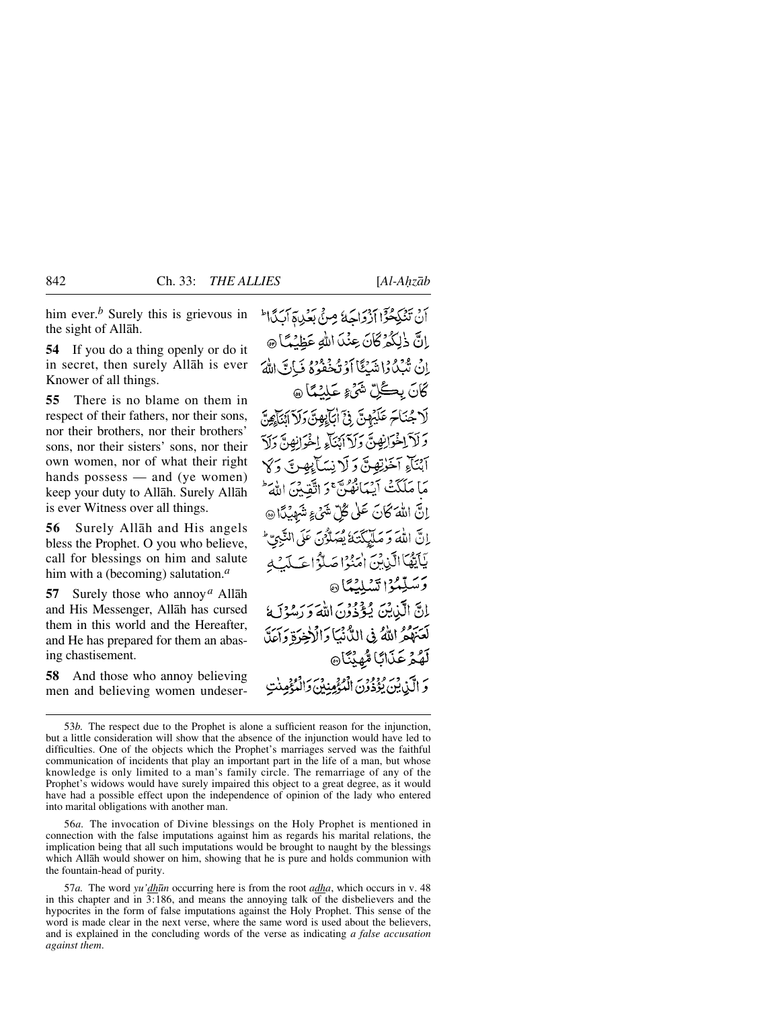him ever.*<sup>b</sup>* Surely this is grievous in the sight of Allåh.

**54** If you do a thing openly or do it in secret, then surely Allåh is ever Knower of all things.

**55** There is no blame on them in respect of their fathers, nor their sons, nor their brothers, nor their brothers' sons, nor their sisters' sons, nor their own women, nor of what their right hands possess — and (ye women) keep your duty to Allåh. Surely Allåh is ever Witness over all things.

**56** Surely Allåh and His angels bless the Prophet. O you who believe, call for blessings on him and salute him with a (becoming) salutation.*<sup>a</sup>*

**57** Surely those who annoy*<sup>a</sup>* Allåh and His Messenger, Allåh has cursed them in this world and the Hereafter, and He has prepared for them an abasing chastisement.

**58** And those who annoy believing men and believing women undeserأَنْ تَنْكِحُوْٓا أَذْوَاحَهُ مِنْ بَعُدِيقَ آيَدًا لَمَّ إِنَّ ذٰلِكُمْ كَانَ عِنْدَا اللَّهِ عَظِنُهًا ۞ اِنْ تُبْكُرُا شَبْكًا أَوْ تُحْفُوهُ فَيَاتَ اللَّهَ كَانَ بِكُلِّ شَيْءٍ عَلَيْهَا ۞ لَا جُنَاحَ عَلَيْهِنّ فِيَّ أَبَابِهِنّ وَلَا آئِنَآهِنّ وَلَآ لِخْوَانِهِنَّ وَلَآ أَبْنَاءِ لِخْوَانِهِنَّ وَلَآ آبْنَآءِ آخَرٰتِهِنَّ وَ لَا نِسَأَبِهِ نَّ وَ لَا مَا مَلَكَتْ آيَهَا بِهُنَّ وَاتَّقِيبُنَ اللَّهَ إِنَّ اللَّهَ كَانَ عَلَى كُلِّ شَيْءٍ شَهْدُمًا ۞ إنَّ اللَّهَ وَ مَلَّيْكَتَهُ يُصَلُّوْنَ عَلَى النَّبِيِّ ۖ يَأَيَّهُاَ الَّذِينَ امْنُوْا صَلَّوْاتِ لَمِيْهِ وَسَدِّمُوْا تَسْلِيُهَا @ إِنَّ الَّذِينَ يُؤْذُوْنَ اللَّهَ وَ دَمْهُ؟ مَا لَعَبَعُوْ اللَّهُ فِي اللَّانِيَا وَالْآخِيرَةِ وَأَعَلَّ لَهُمۡ عَذَابًا مُّهِنِّنَا۞ وَ الَّيْنِ بِينَ بِدَوْوَيَ الْمُؤْمِنِينَ وَالْمُؤْمِنِينَ

56*a.* The invocation of Divine blessings on the Holy Prophet is mentioned in connection with the false imputations against him as regards his marital relations, the implication being that all such imputations would be brought to naught by the blessings which Allåh would shower on him, showing that he is pure and holds communion with the fountain-head of purity.

57*a.* The word *yu'dh∂n* occurring here is from the root *adha*, which occurs in v. 48 in this chapter and in 3:186, and means the annoying talk of the disbelievers and the hypocrites in the form of false imputations against the Holy Prophet. This sense of the word is made clear in the next verse, where the same word is used about the believers, and is explained in the concluding words of the verse as indicating *a false accusation against them*.

<sup>53</sup>*b.* The respect due to the Prophet is alone a sufficient reason for the injunction, but a little consideration will show that the absence of the injunction would have led to difficulties. One of the objects which the Prophet's marriages served was the faithful communication of incidents that play an important part in the life of a man, but whose knowledge is only limited to a man's family circle. The remarriage of any of the Prophet's widows would have surely impaired this object to a great degree, as it would have had a possible effect upon the independence of opinion of the lady who entered into marital obligations with another man.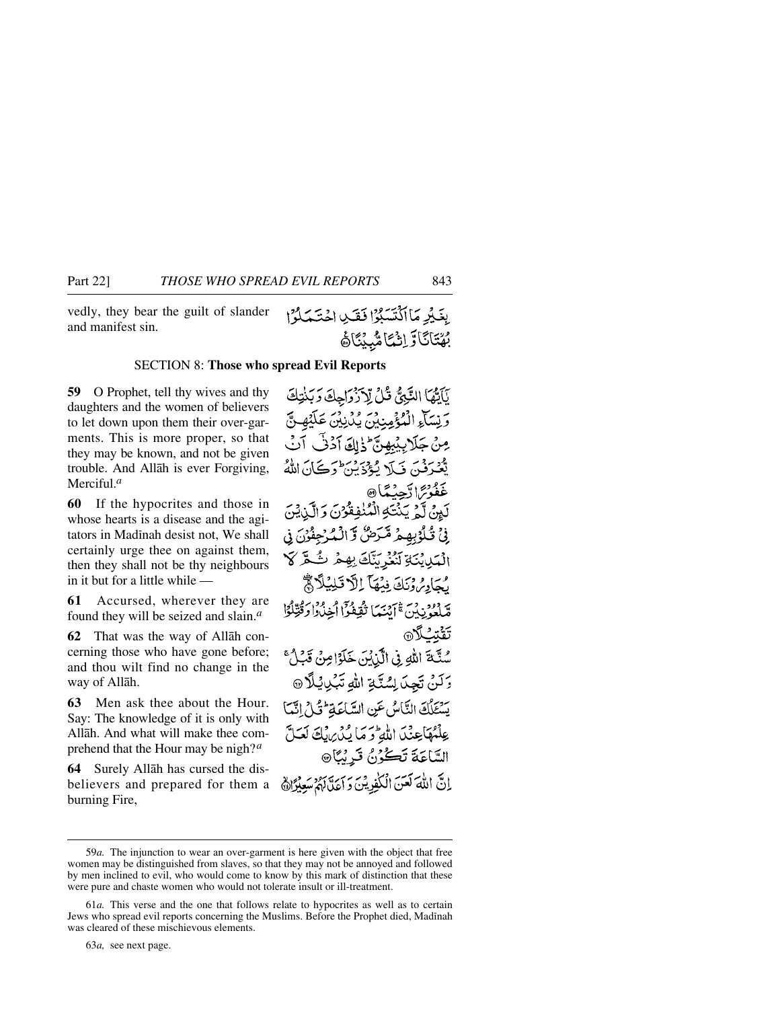vedly, they bear the guilt of slander and manifest sin.

## SECTION 8: **Those who spread Evil Reports**

**59** O Prophet, tell thy wives and thy daughters and the women of believers to let down upon them their over-garments. This is more proper, so that they may be known, and not be given trouble. And Allåh is ever Forgiving, Merciful.*<sup>a</sup>*

**60** If the hypocrites and those in whose hearts is a disease and the agitators in Madinah desist not, We shall certainly urge thee on against them, then they shall not be thy neighbours in it but for a little while —

**61** Accursed, wherever they are found they will be seized and slain.*<sup>a</sup>*

**62** That was the way of Allåh concerning those who have gone before; and thou wilt find no change in the way of Allåh.

**63** Men ask thee about the Hour. Say: The knowledge of it is only with Allåh. And what will make thee comprehend that the Hour may be nigh?*<sup>a</sup>*

**64** Surely Allåh has cursed the disbelievers and prepared for them a burning Fire,

نَأَتُهَا النَّبِيُّ فَلْ لْآزْدَاحِكَ دَيْنَتِكَ وَيْسَاْءِ الْمُؤْمِنِيْنَ يُدْنِيْنَ عَلَيْهِ نَّ مِنْ جَلَابِيْبِهِنَّ ۖ ذَٰلِكَ آدُنَّى آنَ يَّعۡدَفۡنَ فَ1َلَا يُؤۡذَيۡنَ وَكَانَ اللَّهُ غَفُوْسَ اتَّجِيبُدَيَّا® لَيِنْ لَّهُ يَنْتَهِ الْمُنْفِقُوْنَ وَالَّذِيْنَ نِّ تُلْوُبِهِمْ مَّرَضُّ وَّالْمُرْجِئْنَ نِي الْبَيْابِنَيْ تَنْزُرْ يَنَّكَ بِهِمْ ٹُے ۖ لَا رُجَادِيُّ دِنَكَ فِيُهَا إِلَّا قَلِيْلًا ﴾ صَّلَّعُهُ نِدْنَ ﷺ فَقَعْدُواْ أَخِذْرُوا وَقُتِّلُوَّا تَقْتَبُ أَلَا سُنَّةَ اللهِ فِي الَّذِيْنَ خَلَوًا مِنْ قَبْلُ ۚ وَلَنْ تَجِدَ لِسُنَّةِ اللَّهِ تَبْدِيْلًا @ سُتِكْكَ النَّاسُ عَنِ السَّاعَةِ لَّذَلِّ اتَّبَا عِلْمُهَاجِئْدَا اللَّهِ وَمَا يُدْرِينَكَ لَعَلَّ السَّاعَةَ تَكُرُنُ قَرِيْبًا۞ إِنَّ اللَّهَ لَعَنَ الْكَٰذِينَ دَاءَتَّالِهُمْ سَعِيْرًا ﴾

بِغَيْرِ مَا اَكْتَسَبُوْا فَقَدِي اِحْتَمَلُوْا

**ِيُهَّتَآتَآوَ اِنْيُّتَا مُّبِيِّنَ**اً هُ

63*a,* see next page.

<sup>59</sup>*a.* The injunction to wear an over-garment is here given with the object that free women may be distinguished from slaves, so that they may not be annoyed and followed by men inclined to evil, who would come to know by this mark of distinction that these were pure and chaste women who would not tolerate insult or ill-treatment.

<sup>61</sup>*a.* This verse and the one that follows relate to hypocrites as well as to certain Jews who spread evil reports concerning the Muslims. Before the Prophet died, Madinah was cleared of these mischievous elements.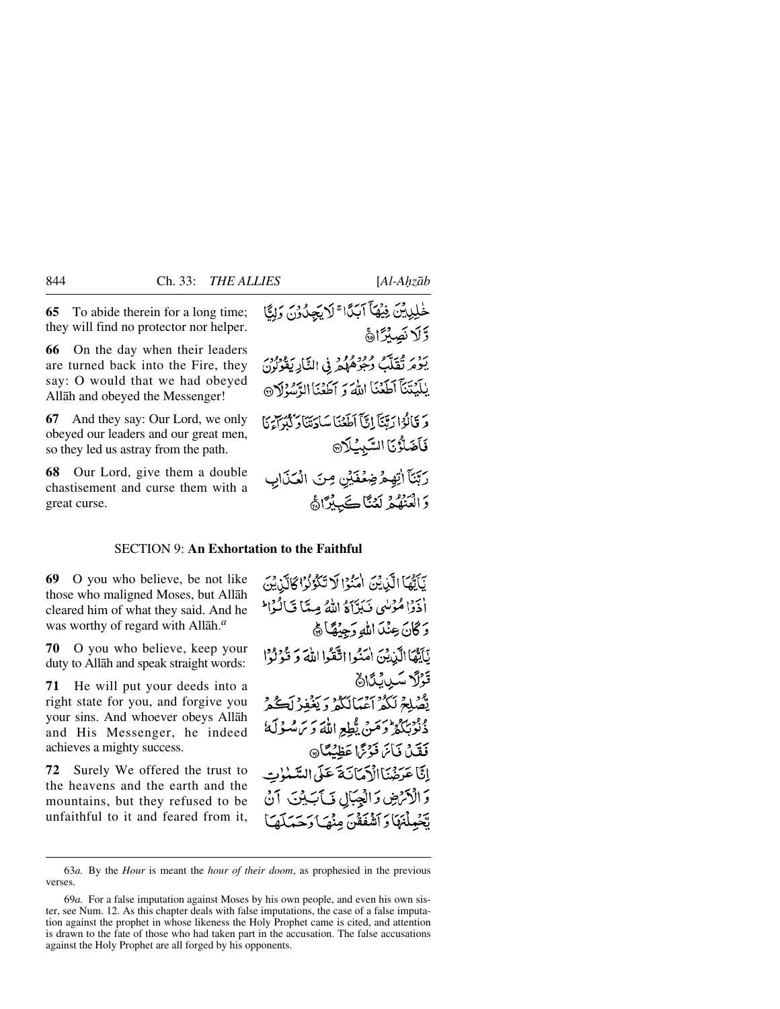**65** To abide therein for a long time; they will find no protector nor helper.

**66** On the day when their leaders are turned back into the Fire, they say: O would that we had obeyed Allåh and obeyed the Messenger!

**67** And they say: Our Lord, we only obeyed our leaders and our great men, so they led us astray from the path.

**68** Our Lord, give them a double chastisement and curse them with a great curse.

خْلِيِيْنَ فِيْهَا آبَدًا ۚ لَايَجِدُوْنَ وَلِيًّا وَّلَا نَصِيْرًا مَّ

يَوْمَ ثَقَلَّبَ وُجُوهُهُمْ فِي النَّارِ يَقُونُونَ يٰلَيۡنَنَآ ٱطۡعَنَا اللَّهَ وَ ٱطۡعَنَا الرَّسۡوَلَانَ وَ قَالُوْا رَبَّنَآ إِنَّآ أَطَعۡنَا سَاٰدَتَنَآ وَكُنُوآ مَآ فَأَضَلَّؤُنَا السَّبِيُلَا®

رَبَّنَآ اٰتِهِمْ ضِعۡفَيۡنِ مِنَ الْعَذَابِ وَالْعَنْهُمْ لَعْنَاكَبِيْرًاهُ

## SECTION 9: **An Exhortation to the Faithful**

**69** O you who believe, be not like those who maligned Moses, but Allåh cleared him of what they said. And he was worthy of regard with Allåh.*<sup>a</sup>*

**70** O you who believe, keep your duty to Allåh and speak straight words:

**71** He will put your deeds into a right state for you, and forgive you your sins. And whoever obeys Allåh and His Messenger, he indeed achieves a mighty success.

**72** Surely We offered the trust to the heavens and the earth and the mountains, but they refused to be unfaithful to it and feared from it, يَأَتُّهَا الَّذِيْنَ أُمَنُوْا لَا تَكُوُنُوْا كَالَّذِيْنَ أَذَدًا مُؤْسُى نَبَرْآَهُ اللَّهُ مِيَّا قَالَهُا ۖ دَ كَانَ عِنْدَ اللّهِ وَجِيْهًا ﴾ يَأَيُّهَا الَّذِينَ امَنُوا اتَّقَوا اللَّهَ وَ قُولُوا قَوْلًا سَيْ لِمَاهُ يَّصْلِحْ لَكُمُّ أَعْمَالَكُمْ دَيْغُفِرْ لَڪُمْ وْفَرْبِهِمْ وَحَسَنَ يّْطِعِ اللَّهَ وَيَ سُنُولَهُ فَقَيْنَ فَيَأْتَمَا فَوْتَمَا عَظِيْتًا إِنَّا عَدَخَيْنَاالْأَدْمَانَ\$َ عَلَى السَّبْنِوْتِ وَالْأَنْرَضِ وَالْعِبَالِ فَيَأْتِبِيْنَ آنُ تَجْهِلْنَهَا وَأَشْفَقَنَّ مِنْهَا دَحَمَلَهَا

<sup>63</sup>*a.* By the *Hour* is meant the *hour of their doom*, as prophesied in the previous verses.

<sup>69</sup>*a.* For a false imputation against Moses by his own people, and even his own sister, see Num. 12. As this chapter deals with false imputations, the case of a false imputation against the prophet in whose likeness the Holy Prophet came is cited, and attention is drawn to the fate of those who had taken part in the accusation. The false accusations against the Holy Prophet are all forged by his opponents.